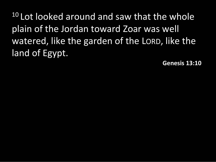<sup>10</sup> Lot looked around and saw that the whole plain of the Jordan toward Zoar was well watered, like the garden of the LORD, like the land of Egypt.

**Genesis 13:10**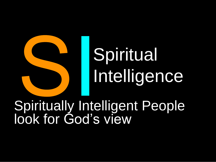## Spiritual Intelligence

## Spiritually Intelligent People look for God's view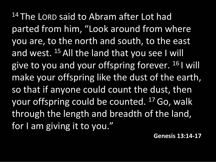14 The LORD said to Abram after Lot had parted from him, "Look around from where you are, to the north and south, to the east and west. <sup>15</sup> All the land that you see I will give to you and your offspring forever. <sup>16</sup> I will make your offspring like the dust of the earth, so that if anyone could count the dust, then your offspring could be counted. <sup>17</sup> Go, walk through the length and breadth of the land, for I am giving it to you."

**Genesis 13:14-17**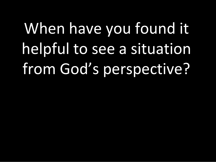When have you found it helpful to see a situation from God's perspective?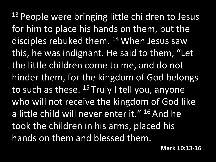13 People were bringing little children to Jesus for him to place his hands on them, but the disciples rebuked them. <sup>14</sup> When Jesus saw this, he was indignant. He said to them, "Let the little children come to me, and do not hinder them, for the kingdom of God belongs to such as these. <sup>15</sup> Truly I tell you, anyone who will not receive the kingdom of God like a little child will never enter it." <sup>16</sup> And he took the children in his arms, placed his hands on them and blessed them.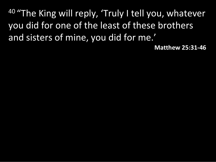<sup>40</sup> "The King will reply, 'Truly I tell you, whatever you did for one of the least of these brothers and sisters of mine, you did for me.'

**Matthew 25:31-46**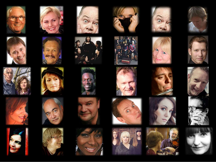